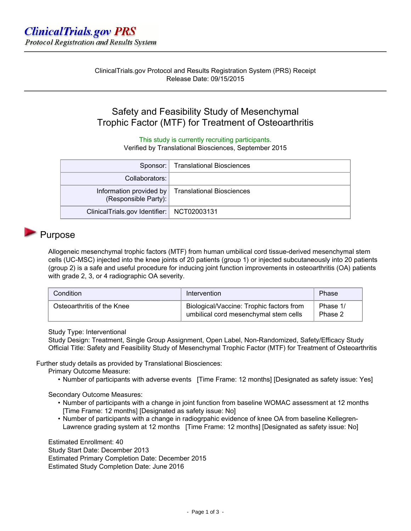# Safety and Feasibility Study of Mesenchymal Trophic Factor (MTF) for Treatment of Osteoarthritis

This study is currently recruiting participants.

Verified by Translational Biosciences, September 2015

|                                              | Sponsor:   Translational Biosciences                |
|----------------------------------------------|-----------------------------------------------------|
| Collaborators:                               |                                                     |
| (Responsible Party):                         | Information provided by   Translational Biosciences |
| ClinicalTrials.gov Identifier:   NCT02003131 |                                                     |

### **Purpose**

Allogeneic mesenchymal trophic factors (MTF) from human umbilical cord tissue-derived mesenchymal stem cells (UC-MSC) injected into the knee joints of 20 patients (group 1) or injected subcutaneously into 20 patients (group 2) is a safe and useful procedure for inducing joint function improvements in osteoarthritis (OA) patients with grade 2, 3, or 4 radiographic OA severity.

| Condition                  | Intervention                                                                      | Phase               |
|----------------------------|-----------------------------------------------------------------------------------|---------------------|
| Osteoarthritis of the Knee | Biological/Vaccine: Trophic factors from<br>umbilical cord mesenchymal stem cells | Phase 1/<br>Phase 2 |

Study Type: Interventional

Study Design: Treatment, Single Group Assignment, Open Label, Non-Randomized, Safety/Efficacy Study Official Title: Safety and Feasibility Study of Mesenchymal Trophic Factor (MTF) for Treatment of Osteoarthritis

Further study details as provided by Translational Biosciences:

Primary Outcome Measure:

• Number of participants with adverse events [Time Frame: 12 months] [Designated as safety issue: Yes]

Secondary Outcome Measures:

- Number of participants with a change in joint function from baseline WOMAC assessment at 12 months [Time Frame: 12 months] [Designated as safety issue: No]
- Number of participants with a change in radiogrpahic evidence of knee OA from baseline Kellegren-Lawrence grading system at 12 months [Time Frame: 12 months] [Designated as safety issue: No]

Estimated Enrollment: 40 Study Start Date: December 2013 Estimated Primary Completion Date: December 2015 Estimated Study Completion Date: June 2016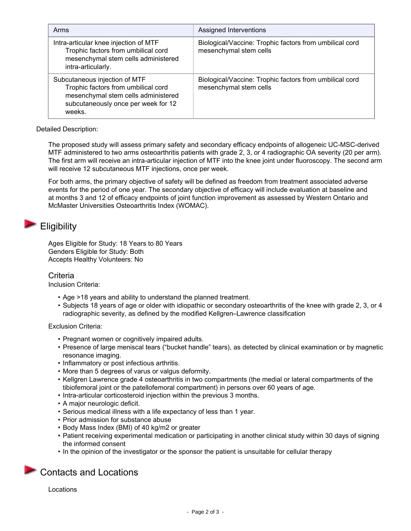| Arms                                                                                                                                                         | Assigned Interventions                                                            |
|--------------------------------------------------------------------------------------------------------------------------------------------------------------|-----------------------------------------------------------------------------------|
| Intra-articular knee injection of MTF<br>Trophic factors from umbilical cord<br>mesenchymal stem cells administered<br>intra-articularly.                    | Biological/Vaccine: Trophic factors from umbilical cord<br>mesenchymal stem cells |
| Subcutaneous injection of MTF<br>Trophic factors from umbilical cord<br>mesenchymal stem cells administered<br>subcutaneously once per week for 12<br>weeks. | Biological/Vaccine: Trophic factors from umbilical cord<br>mesenchymal stem cells |

Detailed Description:

The proposed study will assess primary safety and secondary efficacy endpoints of allogeneic UC-MSC-derived MTF administered to two arms osteoarthritis patients with grade 2, 3, or 4 radiographic OA severity (20 per arm). The first arm will receive an intra-articular injection of MTF into the knee joint under fluoroscopy. The second arm will receive 12 subcutaneous MTF injections, once per week.

For both arms, the primary objective of safety will be defined as freedom from treatment associated adverse events for the period of one year. The secondary objective of efficacy will include evaluation at baseline and at months 3 and 12 of efficacy endpoints of joint function improvement as assessed by Western Ontario and McMaster Universities Osteoarthritis Index (WOMAC).

# **Eligibility**

Ages Eligible for Study: 18 Years to 80 Years Genders Eligible for Study: Both Accepts Healthy Volunteers: No

### **Criteria**

Inclusion Criteria:

- Age >18 years and ability to understand the planned treatment.
- Subjects 18 years of age or older with idiopathic or secondary osteoarthritis of the knee with grade 2, 3, or 4 radiographic severity, as defined by the modified Kellgren–Lawrence classification

#### Exclusion Criteria:

- Pregnant women or cognitively impaired adults.
- Presence of large meniscal tears ("bucket handle" tears), as detected by clinical examination or by magnetic resonance imaging.
- Inflammatory or post infectious arthritis.
- More than 5 degrees of varus or valgus deformity.
- Kellgren Lawrence grade 4 osteoarthritis in two compartments (the medial or lateral compartments of the tibiofemoral joint or the patellofemoral compartment) in persons over 60 years of age.
- Intra-articular corticosteroid injection within the previous 3 months.
- A major neurologic deficit.
- Serious medical illness with a life expectancy of less than 1 year.
- Prior admission for substance abuse
- Body Mass Index (BMI) of 40 kg/m2 or greater
- Patient receiving experimental medication or participating in another clinical study within 30 days of signing the informed consent
- In the opinion of the investigator or the sponsor the patient is unsuitable for cellular therapy

## Contacts and Locations

Locations